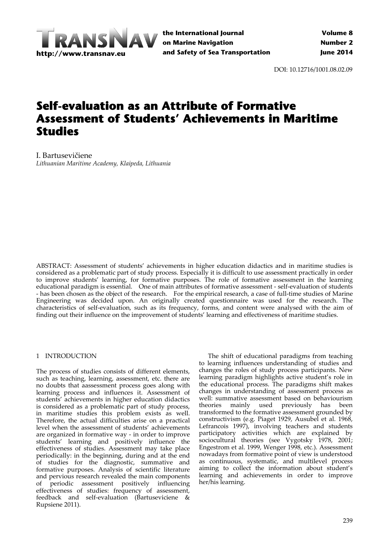

**the International Journal on Marine Navigation and Safety of Sea Transportation**

DOI: 10.12716/1001.08.02.09

# **Self-evaluation as an Attribute of Formative Assessment of Students' Achievements in Maritime Studies**

I. Bartusevičiene *Lithuanian Maritime Academy, Klaipeda, Lithuania*

ABSTRACT: Assessment of students' achievements in higher education didactics and in maritime studies is considered as a problematic part of study process. Especially it is difficult to use assessment practically in order to improve students' learning, for formative purposes. The role of formative assessment in the learning educational paradigm is essential. One of main attributes of formative assessment - self-evaluation of students ‐ has been chosen as the object of the research. For the empirical research, a case of full‐time studies of Marine Engineering was decided upon. An originally created questionnaire was used for the research. The characteristics of self‐evaluation, such as its frequency, forms, and content were analysed with the aim of finding out their influence on the improvement of students' learning and effectiveness of maritime studies.

#### 1 INTRODUCTION

The process of studies consists of different elements, such as teaching, learning, assessment, etc. there are no doubts that aassessment process goes along with learning process and influences it. Assessment of students' achievements in higher education didactics is considered as a problematic part of study process, in maritime studies this problem exists as well. Therefore, the actual difficulties arise on a practical level when the assessment of students' achievements are organized in formative way ‐ in order to improve students' learning and positively influence the effectiveness of studies. Assessment may take place periodically: in the beginning, during and at the end of studies for the diagnostic, summative and formative purposes. Analysis of scientific literature and pervious research revealed the main components of periodic assessment positively influencing effectiveness of studies: frequency of assessment, feedback and self‐evaluation (Bartuseviciene & Rupsiene 2011).

The shift of educational paradigms from teaching to learning influences understanding of studies and changes the roles of study process participants. New learning paradigm highlights active student's role in the educational process. The paradigms shift makes changes in understanding of assessment process as well: summative assessment based on behaviourism<br>theories mainly used previously has been mainly used previously has been transformed to the formative assessment grounded by constructivism (e.g. Piaget 1929, Ausubel et al. 1968, Lefrancois 1997), involving teachers and students participatory activities which are explained by sociocultural theories (see Vygotsky 1978, 2001; Engestrom et al. 1999, Wenger 1998, etc.). Assessment nowadays from formative point of view is understood as continuous, systematic, and multilevel process aiming to collect the information about student's learning and achievements in order to improve her/his learning.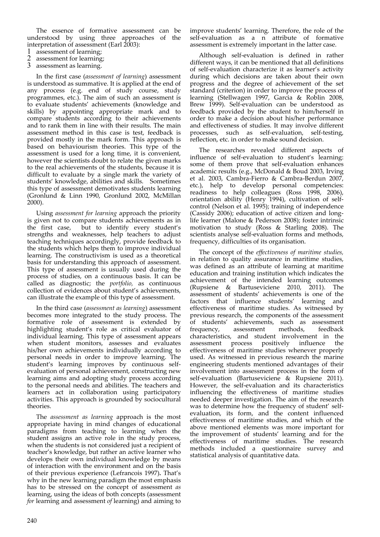The essence of formative assessment can be understood by using three approaches of the interpretation of assessment (Earl 2003):

- 1 assessment of learning;
- 2 assessment for learning;
- 3 assessment as learning.

In the first case (*assessment of learning*) assessment is understood as summative. It is applied at the end of any process (e.g. end of study course, study programmes, etc.). The aim of such an assessment is to evaluate students' achievements (knowledge and skills) by appointing appropriate mark and to compare students according to their achievements and to rank them in line with their results. The main assessment method in this case is test, feedback is provided mostly in the mark form. This approach is based on behaviourism theories. This type of the assessment is used for a long time, it is convenient, however the scientists doubt to relate the given marks to the real achievements of the students, because it is difficult to evaluate by a single mark the variety of students' knowledge, abilities and skills. Sometimes this type of assessment demotivates students learning (Gronlund & Linn 1990, Gronlund 2002, McMillan 2000).

Using *assessment for learning* approach the priority is given not to compare students achievements as in the first case, but to identify every student's strengths and weaknesses, help teachers to adjust teaching techniques accordingly, provide feedback to the students which helps them to improve individual learning. The constructivism is used as a theoretical basis for understanding this approach of assessment. This type of assessment is usually used during the process of studies, on a continuous basis. It can be called as diagnostic; the *portfolio,* as continuous collection of evidences about student's achievements, can illustrate the example of this type of assessment.

In the third case (*assessment as learning*) assessment becomes more integrated to the study process. The formative role of assessment is extended by highlighting student's role as critical evaluator of individual learning. This type of assessment appears when student monitors, assesses and evaluates his/her own achievements individually according to personal needs in order to improve learning. The student's learning improves by continuous selfevaluation of personal achievement, constructing new learning aims and adopting study process according to the personal needs and abilities. The teachers and learners act in collaboration using participatory activities. This approach is grounded by sociocultural theories.

The *assessment as learning* approach is the most appropriate having in mind changes of educational paradigms from teaching to learning when the student assigns an active role in the study process, when the students is not considered just a recipient of teacher's knowledge, but rather an active learner who develops their own individual knowledge by means of interaction with the environment and on the basis of their previous experience (Lefrancois 1997)*.* That's why in the new learning paradigm the most emphasis has to be stressed on the concept of assessment *as* learning, using the ideas of both concepts (assessment *for* learning and assessment *of* learning) and aiming to

improve students' learning. Therefore, the role of the self-evaluation as a n attribute of formative assessment is extremely important in the latter case.

Although self‐evaluation is defined in rather different ways, it can be mentioned that all definitions of self‐evaluation characterize it as learner's activity during which decisions are taken about their own progress and the degree of achievement of the set standard (criterion) in order to improve the process of learning (Stellwagen 1997, Garcia & Roblin 2008, Brew 1999). Self‐evaluation can be understood as feedback provided by the student to him/herself in order to make a decision about his/her performance and effectiveness of studies. It may involve different processes, such as self‐evaluation, self‐testing, reflection, etc. in order to make sound decision.

The researches revealed different aspects of influence of self-evaluation to student's learning: some of them prove that self-evaluation enhances academic results (e.g., McDonald & Boud 2003, Irving et al. 2003, Cambra‐Fierro & Cambra‐Berdun 2007, etc.), help to develop personal competencies: readiness to help colleagues (Ross 1998, 2006), orientation ability (Henry 1994), cultivation of selfcontrol (Nelson et al. 1995); training of independence (Cassidy 2006); education of active citizen and long‐ life learner (Malone & Pederson 2008); foster intrinsic motivation to study (Ross & Starling 2008). The scientists analyse self‐evaluation forms and methods, frequency, difficulties of its organisation.

The concept of the *effectiveness of maritime studies,* in relation to quality assurance in maritime studies, was defined as an attribute of learning at maritime education and training institution which indicates the achievement of the intended learning outcomes (Rupsiene & Bartuseviciene 2010, 2011). The assessment of students' achievements is one of the factors that influence students' learning and effectiveness of maritime studies. As witnessed by previous research, the components of the assessment of students' achievements, such as assessment frequency, assessment methods, feedback characteristics, and student involvement in the assessment process positively influence the effectiveness of maritime studies whenever properly used. As witnessed in previous research the marine engineering students mentioned advantages of their involvement into assessment process in the form of self-evaluation (Bartuseviciene & Rupsiene 2011). However, the self-evaluation and its characteristics influencing the effectiveness of maritime studies needed deeper investigation. The aim of the research was to determine how the frequency of student' self‐ evaluation, its form, and the content influenced effectiveness of maritime studies, and which of the above mentioned elements was more important for the improvement of students' learning and for the effectiveness of maritime studies. The research methods included a questionnaire survey and statistical analysis of quantitative data.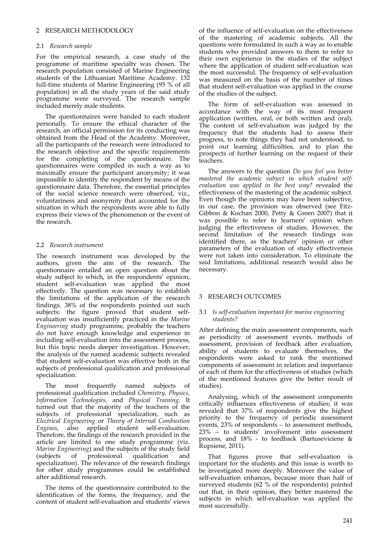### 2 RESEARCH METHODOLOGY

#### 2.1 *Research sample*

For the empirical research, a case study of the programme of maritime specialty was chosen. The research population consisted of Marine Engineering students of the Lithuanian Maritime Academy. 132 full-time students of Marine Engineering (95 % of all population) in all the study years of the said study programme were surveyed. The research sample included merely male students.

The questionnaires were handed to each student personally. To ensure the ethical character of the research, an official permission for its conducting was obtained from the Head of the Academy. Moreover, all the participants of the research were introduced to the research objective and the specific requirements for the completing of the questionnaire. The questionnaires were compiled in such a way as to maximally ensure the participant anonymity; it was impossible to identify the respondent by means of the questionnaire data. Therefore, the essential principles of the social science research were observed, viz., voluntariness and anonymity that accounted for the situation in which the respondents were able to fully express their views of the phenomenon or the event of the research.

# 2.2 *Research instrument*

The research instrument was developed by the authors, given the aim of the research. The questionnaire entailed an open question about the study subject to which, in the respondents' opinion, student self‐evaluation was applied the most effectively. The question was necessary to establish the limitations of the application of the research findings. 38% of the respondents pointed out such subjects: the figure proved that student self‐ evaluation was insufficiently practiced in the *Marine Engineering* study programme, probably the teachers do not have enough knowledge and experience in including self‐evaluation into the assessment process, but this topic needs deeper investigation. However, the analysis of the named academic subjects revealed that student self‐evaluation was effective both in the subjects of professional qualification and professional specialization.

The most frequently named subjects of professional qualification included *Chemistry, Physics, Information Technologies,* and *Physical Training.* It turned out that the majority of the teachers of the subjects of professional specialization, such as *Electrical Engineering* or *Theory of Internal Combustion Engines*, also applied student self‐evaluation. Therefore, the findings of the research provided in the article are limited to one study programme (viz. *Marine Engineering*) and the subjects of the study field (subjects of professional qualification and (subjects of professional qualification and specialization). The relevance of the research findings for other study programmes could be established after additional research.

The items of the questionnaire contributed to the identification of the forms, the frequency, and the content of student self‐evaluation and students' views

of the influence of self‐evaluation on the effectiveness of the mastering of academic subjects. All the questions were formulated in such a way as to enable students who provided answers to them to refer to their own experience in the studies of the subject where the application of student self-evaluation was the most successful. The frequency of self‐evaluation was measured on the basis of the number of times that student self‐evaluation was applied in the course of the studies of the subject.

The form of self-evaluation was assessed in accordance with the way of its most frequent application (written, oral, or both written and oral). The content of self-evaluation was judged by the frequency that the students had to assess their progress, to note things they had not understood, to point out learning difficulties, and to plan the prospects of further learning on the request of their teachers.

The answers to the question *Do you feel you better mastered the academic subject in which student self‐ evaluation was applied in the best way?* revealed the effectiveness of the mastering of the academic subject. Even though the opinions may have been subjective, in our case, the provision was observed (see Fitz-Gibbon & Kochan 2000, Petty & Green 2007) that it was possible to refer to learners' opinion when judging the effectiveness of studies. However, the second limitation of the research findings was identified there, as the teachers' opinion or other parameters of the evaluation of study effectiveness were not taken into consideration. To eliminate the said limitations, additional research would also be necessary.

# 3 RESEARCH OUTCOMES

### 3.1 *Is self‐evaluation important for marine engineering students?*

After defining the main assessment components, such as periodicity of assessment events, methods of assessment, provision of feedback after evaluation, ability of students to evaluate themselves, the respondents were asked to rank the mentioned components of assessment in relation and importance of each of them for the effectiveness of studies (which of the mentioned features give the better result of studies).

Analysing, which of the assessment components critically influences effectiveness of studies; it was revealed that 37% of respondents give the highest priority to the frequency of periodic assessment events, 23% of respondents – to assessment methods, 23% – to students' involvement into assessment process, and  $18\%$  - to feedback (Bartuseviciene & Rupsiene, 2011).

That figures prove that self-evaluation is important for the students and this issue is worth to be investigated more deeply. Moreover the value of self-evaluation enhances, because more than half of surveyed students (62 % of the respondents) pointed out that, in their opinion, they better mastered the subjects in which self‐evaluation was applied the most successfully.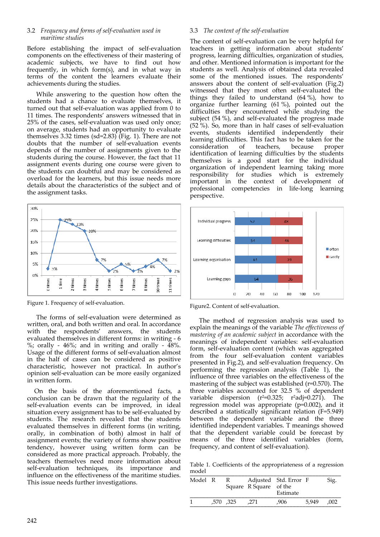## 3.2 *Frequency and forms of self‐evaluation used in maritime studies*

Before establishing the impact of self‐evaluation components on the effectiveness of their mastering of academic subjects, we have to find out how frequently, in which form(s), and in what way in terms of the content the learners evaluate their achievements during the studies.

While answering to the question how often the students had a chance to evaluate themselves, it turned out that self‐evaluation was applied from 0 to 11 times. The respondents' answers witnessed that in 25% of the cases, self‐evaluation was used only once; on average, students had an opportunity to evaluate themselves  $3.32$  times (sd= $2.83$ ) (Fig. 1). There are not doubts that the number of self‐evaluation events depends of the number of assignments given to the students during the course. However, the fact that 11 assignment events during one course were given to the students can doubtful and may be considered as overload for the learners, but this issue needs more details about the characteristics of the subject and of the assignment tasks.



Figure 1. Frequency of self‐evaluation.

The forms of self‐evaluation were determined as written, oral, and both written and oral. In accordance with the respondents' answers, the students evaluated themselves in different forms: in writing ‐ 6 %; orally -  $46\%$ ; and in writing and orally -  $48\%$ . Usage of the different forms of self‐evaluation almost in the half of cases can be considered as positive characteristic, however not practical. In author's opinion self‐evaluation can be more easily organized in written form.

On the basis of the aforementioned facts, a conclusion can be drawn that the regularity of the self-evaluation events can be improved, in ideal situation every assignment has to be self‐evaluated by students. The research revealed that the students evaluated themselves in different forms (in writing, orally, in combination of both) almost in half of assignment events; the variety of forms show positive tendency, however using written form can be considered as more practical approach. Probably, the teachers themselves need more information about self-evaluation techniques, its importance and influence on the effectiveness of the maritime studies. This issue needs further investigations.

# 3.3 *The content of the self‐evaluation*

The content of self‐evaluation can be very helpful for teachers in getting information about students' progress, learning difficulties, organization of studies, and other. Mentioned information is important for the students as well. Analysis of obtained data revealed some of the mentioned issues. The respondents' answers about the content of self‐evaluation (Fig.2) witnessed that they most often self‐evaluated the things they failed to understand (64 %), how to organize further learning (61 %), pointed out the difficulties they encountered while studying the subject (54 %), and self-evaluated the progress made (52 %). So, more than in half cases of self‐evaluation events, students identified independently their learning difficulties. This fact has to be taken for the consideration of teachers, because identification of learning difficulties by the students themselves is a good start for the individual organization of independent learning taking more responsibility for studies which is extremely important in the context of development of professional competencies in life‐long learning perspective.



Figure2. Content of self‐evaluation.

The method of regression analysis was used to explain the meanings of the variable *The effectiveness of mastering of an academic subject* in accordance with the meanings of independent variables: self‐evaluation form, self‐evaluation content (which was aggregated from the four self-evaluation content variables presented in Fig.2), and self‐evaluation frequency. On performing the regression analysis (Table 1), the influence of three variables on the effectiveness of the mastering of the subject was established (r=0.570). The three variables accounted for 32.5 % of dependent variable dispersion  $(r^2=0.325; r^2adj=0.271)$ . The regression model was appropriate (p=0.002), and it described a statistically significant relation (F=5.949) between the dependent variable and the three identified independent variables. T meanings showed that the dependent variable could be forecast by means of the three identified variables (form, frequency, and content of self‐evaluation).

Table 1. Coefficients of the appropriateness of a regression model \_\_\_\_\_\_\_\_\_\_\_\_\_\_\_\_\_\_\_\_\_\_\_\_\_\_\_\_\_\_\_\_\_\_\_\_\_\_\_\_\_\_\_\_\_\_\_

| Model R | $\mathbb{R}$ | Square R Square of the | Adjusted Std. Error F<br>Estimate |       | Sig. |
|---------|--------------|------------------------|-----------------------------------|-------|------|
|         | 325, 570,    | .271                   | .906                              | 5.949 | .002 |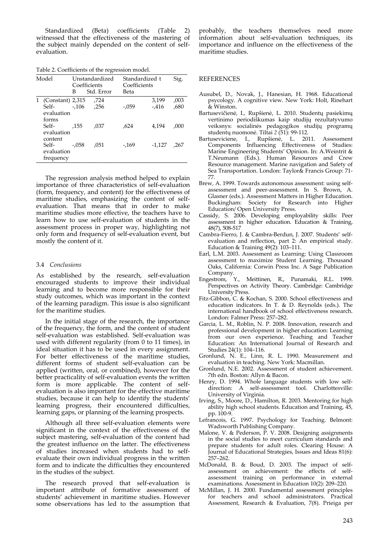Standardized (Beta) coefficients (Table 2) witnessed that the effectiveness of the mastering of the subject mainly depended on the content of self‐ evaluation.

Table 2. Coefficients of the regression model.

| Model                                              | В       | Unstandardized<br>Coefficients<br>Std. Error | Standardized t<br>Coefficients<br>Beta |                | Sig.         |
|----------------------------------------------------|---------|----------------------------------------------|----------------------------------------|----------------|--------------|
| $(Constant)$ 2,315<br>Self-<br>evaluation<br>forms | $-.106$ | ,724<br>,256                                 | -,059                                  | 3,199<br>-,416 | ,003<br>,680 |
| Self-<br>evaluation<br>content                     | .155    | .037                                         | .624                                   | 4.194          | .000         |
| Self-<br>evaluation<br>frequency                   | -.058   | .051                                         | -.169                                  | $-1.127$       | .267         |

The regression analysis method helped to explain importance of three characteristics of self‐evaluation (form, frequency, and content) for the effectiveness of maritime studies, emphasizing the content of selfevaluation. That means that in order to make maritime studies more effective, the teachers have to learn how to use self‐evaluation of students in the assessment process in proper way, highlighting not only form and frequency of self‐evaluation event, but mostly the content of it.

#### 3.4 *Conclusions*

As established by the research, self-evaluation encouraged students to improve their individual learning and to become more responsible for their study outcomes, which was important in the context of the learning paradigm. This issue is also significant for the maritime studies.

In the initial stage of the research, the importance of the frequency, the form, and the content of student self‐evaluation was established. Self‐evaluation was used with different regularity (from 0 to 11 times), in ideal situation it has to be used in every assignment. For better effectiveness of the maritime studies, different forms of student self‐evaluation can be applied (written, oral, or combined), however for the better practicality of self-evaluation events the written form is more applicable. The content of selfevaluation is also important for the effective maritime studies, because it can help to identify the students' learning progress, their encountered difficulties, learning gaps, or planning of the learning prospects.

Although all three self‐evaluation elements were significant in the context of the effectiveness of the subject mastering, self‐evaluation of the content had the greatest influence on the latter. The effectiveness of studies increased when students had to self‐ evaluate their own individual progress in the written form and to indicate the difficulties they encountered in the studies of the subject.

The research proved that self-evaluation is important attribute of formative assessment of students' achievement in maritime studies. However some observations has led to the assumption that probably, the teachers themselves need more information about self‐evaluation techniques, its importance and influence on the effectiveness of the maritime studies.

#### REFERENCES

- Ausubel, D., Novak, J., Hanesian, H. 1968. Educational psycology. A cognitive view. New York: Holt, Rinehart & Winston.
- Bartusevičienė, I., Rupšienė, L. 2010. Studentų pasiekimų vertinimo periodiškumas kaip studijų rezultatyvumo veiksnys: socialinės pedagogikos studijų programų studentų nuomonė. Tiltai *2* (51): 99‐112.
- Bartuseviciene, I., Rupšienė, L. 2011. Assessment Components Influencing Effectiveness of Studies: Marine Engineering Students' Opinion. In: A.Weintrit & T.Neumann (Eds.). Human Resources and Crew Resource management. Marine navigation and Safety of Sea Transportation. London: Taylor& Francis Group: 71‐ 77.
- Brew, A. 1999. Towards autonomous assessment: using self‐ assessment and peer‐assessment. In S. Brown, A. Glasner (eds.). Assessment Matters in Higher Education. Buckingham: Society for Research into Higher Education/ Open University Press.
- Cassidy, S. 2006. Developing employability skills: Peer assessment in higher education. Education & Training, 48(7), 508‐517
- Cambra‐Fierro, J. & Cambra‐Berdun, J. 2007. Students' self‐ evaluation and reflection, part 2: An empirical study. Education & Training 49(2): 103–111.
- Earl, L.M. 2003. Assessment as Learning: Using Classroom assessment to maximize Student Learning. Thousand Oaks, California: Corwin Press Inc. A Sage Publication Company.
- Engestrom, Y., Meittinen, R., Punamaki, R.L. 1999. Perspectives on Activity Theory. Cambridge: Cambridge University Press.
- Fitz‐Gibbon, C. & Kochan, S. 2000. School effectiveness and education indicators. In T. & D. Reynolds (eds.). The international handbook of school effectiveness research. London: Falmer Press: 257–282.
- Garcia, L. M., Roblin, N. P. 2008. Innovation, research and professional development in higher education: Learning from our own experience. Teaching and Teacher Education: An International Journal of Research and Studies 24(1): 104–116.
- Gronlund, N. E., Linn, R. L. 1990. Measurement and evaluation in teaching. New York: Macmillan.
- Gronlund, N.E. 2002. Assessment of student achievement. 7th edn. Boston: Allyn & Bacon.
- Henry, D. 1994. Whole language students with low selfdirection: A self‐assessment tool. Charlottesville: University of Virginia.
- Irving, S., Moore, D., Hamilton, R. 2003. Mentoring for high ability high school students. Education and Training, 45, pp. 100‐9.
- Lefrancois, G. 1997. Psychology for Teaching. Belmont: Wadsworth Publishing Company.
- Malone, V. & Pederson, P. V. 2008. Designing assignments in the social studies to meet curriculum standards and prepare students for adult roles. Clearing House: A Journal of Educational Strategies, Issues and Ideas 81(6): 257–262.
- McDonald, B. & Boud, D. 2003. The impact of selfassessment on achievement: the effects of selfassessment training on performance in external examinations. Assessment in Education 10(2): 209–220.
- McMillan, J. H. 2000. Fundamental assessment principles for teachers and school administrators. Practical Assessment, Research & Evaluation, 7(8). Prieiga per